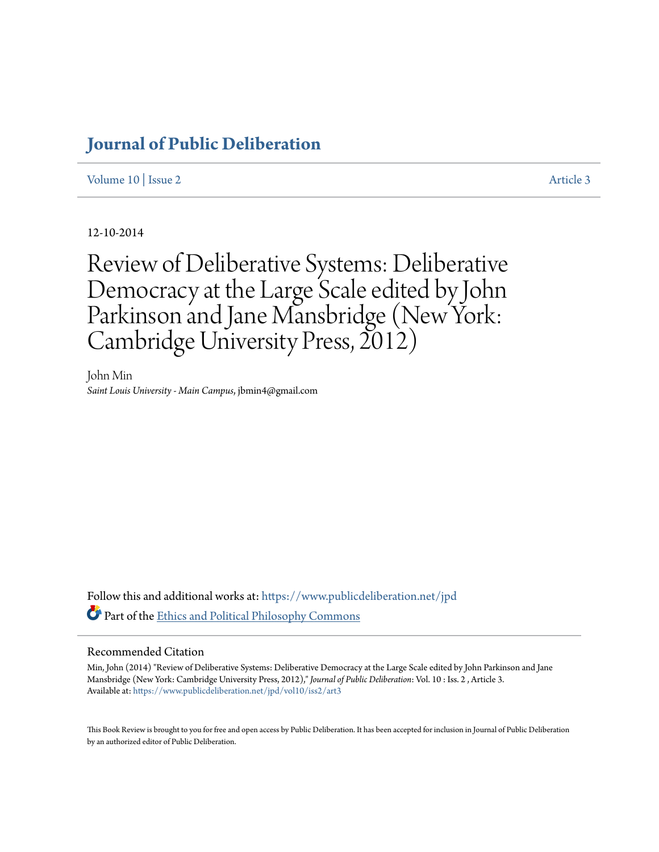# **[Journal of Public Deliberation](https://www.publicdeliberation.net/jpd?utm_source=www.publicdeliberation.net%2Fjpd%2Fvol10%2Fiss2%2Fart3&utm_medium=PDF&utm_campaign=PDFCoverPages)**

[Volume 10](https://www.publicdeliberation.net/jpd/vol10?utm_source=www.publicdeliberation.net%2Fjpd%2Fvol10%2Fiss2%2Fart3&utm_medium=PDF&utm_campaign=PDFCoverPages) | [Issue 2](https://www.publicdeliberation.net/jpd/vol10/iss2?utm_source=www.publicdeliberation.net%2Fjpd%2Fvol10%2Fiss2%2Fart3&utm_medium=PDF&utm_campaign=PDFCoverPages) [Article 3](https://www.publicdeliberation.net/jpd/vol10/iss2/art3?utm_source=www.publicdeliberation.net%2Fjpd%2Fvol10%2Fiss2%2Fart3&utm_medium=PDF&utm_campaign=PDFCoverPages)

12-10-2014

Review of Deliberative Systems: Deliberative Democracy at the Large Scale edited by John Parkinson and Jane Mansbridge (New York: Cambridge University Press, 2012)

John Min *Saint Louis University - Main Campus*, jbmin4@gmail.com

Follow this and additional works at: [https://www.publicdeliberation.net/jpd](https://www.publicdeliberation.net/jpd?utm_source=www.publicdeliberation.net%2Fjpd%2Fvol10%2Fiss2%2Fart3&utm_medium=PDF&utm_campaign=PDFCoverPages) Part of the [Ethics and Political Philosophy Commons](http://network.bepress.com/hgg/discipline/529?utm_source=www.publicdeliberation.net%2Fjpd%2Fvol10%2Fiss2%2Fart3&utm_medium=PDF&utm_campaign=PDFCoverPages)

#### Recommended Citation

Min, John (2014) "Review of Deliberative Systems: Deliberative Democracy at the Large Scale edited by John Parkinson and Jane Mansbridge (New York: Cambridge University Press, 2012)," *Journal of Public Deliberation*: Vol. 10 : Iss. 2 , Article 3. Available at: [https://www.publicdeliberation.net/jpd/vol10/iss2/art3](https://www.publicdeliberation.net/jpd/vol10/iss2/art3?utm_source=www.publicdeliberation.net%2Fjpd%2Fvol10%2Fiss2%2Fart3&utm_medium=PDF&utm_campaign=PDFCoverPages)

This Book Review is brought to you for free and open access by Public Deliberation. It has been accepted for inclusion in Journal of Public Deliberation by an authorized editor of Public Deliberation.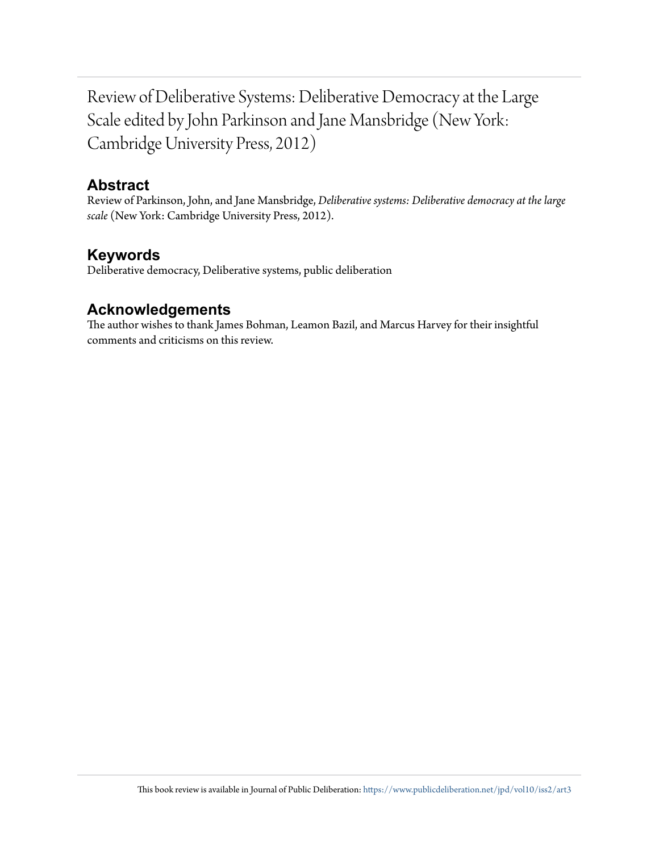Review of Deliberative Systems: Deliberative Democracy at the Large Scale edited by John Parkinson and Jane Mansbridge (New York: Cambridge University Press, 2012)

#### **Abstract**

Review of Parkinson, John, and Jane Mansbridge, *Deliberative systems: Deliberative democracy at the large scale* (New York: Cambridge University Press, 2012).

## **Keywords**

Deliberative democracy, Deliberative systems, public deliberation

## **Acknowledgements**

The author wishes to thank James Bohman, Leamon Bazil, and Marcus Harvey for their insightful comments and criticisms on this review.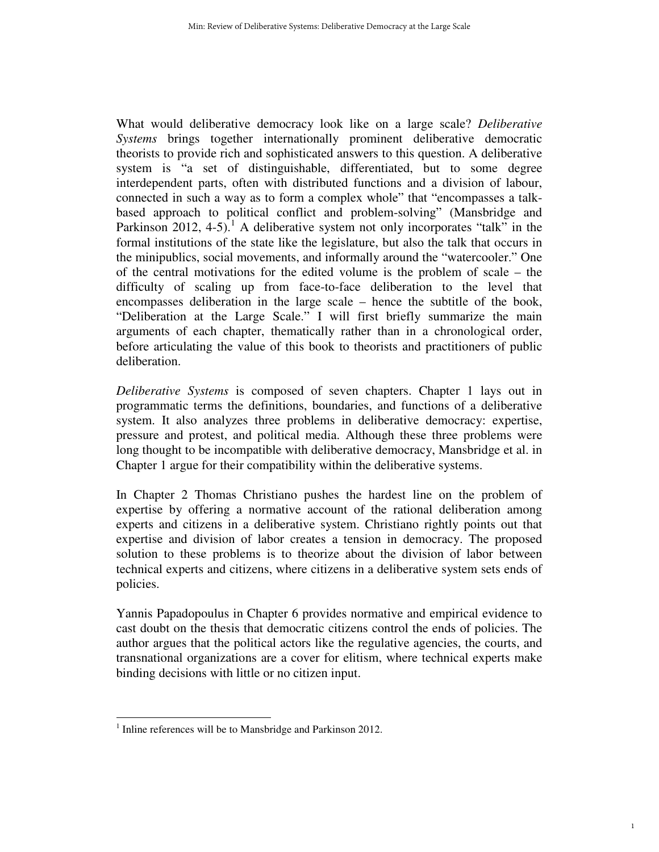What would deliberative democracy look like on a large scale? *Deliberative Systems* brings together internationally prominent deliberative democratic theorists to provide rich and sophisticated answers to this question. A deliberative system is "a set of distinguishable, differentiated, but to some degree interdependent parts, often with distributed functions and a division of labour, connected in such a way as to form a complex whole" that "encompasses a talkbased approach to political conflict and problem-solving" (Mansbridge and Parkinson 2012, 4-5).<sup>1</sup> A deliberative system not only incorporates "talk" in the formal institutions of the state like the legislature, but also the talk that occurs in the minipublics, social movements, and informally around the "watercooler." One of the central motivations for the edited volume is the problem of scale – the difficulty of scaling up from face-to-face deliberation to the level that encompasses deliberation in the large scale – hence the subtitle of the book, "Deliberation at the Large Scale." I will first briefly summarize the main arguments of each chapter, thematically rather than in a chronological order, before articulating the value of this book to theorists and practitioners of public deliberation.

*Deliberative Systems* is composed of seven chapters. Chapter 1 lays out in programmatic terms the definitions, boundaries, and functions of a deliberative system. It also analyzes three problems in deliberative democracy: expertise, pressure and protest, and political media. Although these three problems were long thought to be incompatible with deliberative democracy, Mansbridge et al. in Chapter 1 argue for their compatibility within the deliberative systems.

In Chapter 2 Thomas Christiano pushes the hardest line on the problem of expertise by offering a normative account of the rational deliberation among experts and citizens in a deliberative system. Christiano rightly points out that expertise and division of labor creates a tension in democracy. The proposed solution to these problems is to theorize about the division of labor between technical experts and citizens, where citizens in a deliberative system sets ends of policies.

Yannis Papadopoulus in Chapter 6 provides normative and empirical evidence to cast doubt on the thesis that democratic citizens control the ends of policies. The author argues that the political actors like the regulative agencies, the courts, and transnational organizations are a cover for elitism, where technical experts make binding decisions with little or no citizen input.

1

 $\overline{a}$ 

<sup>&</sup>lt;sup>1</sup> Inline references will be to Mansbridge and Parkinson 2012.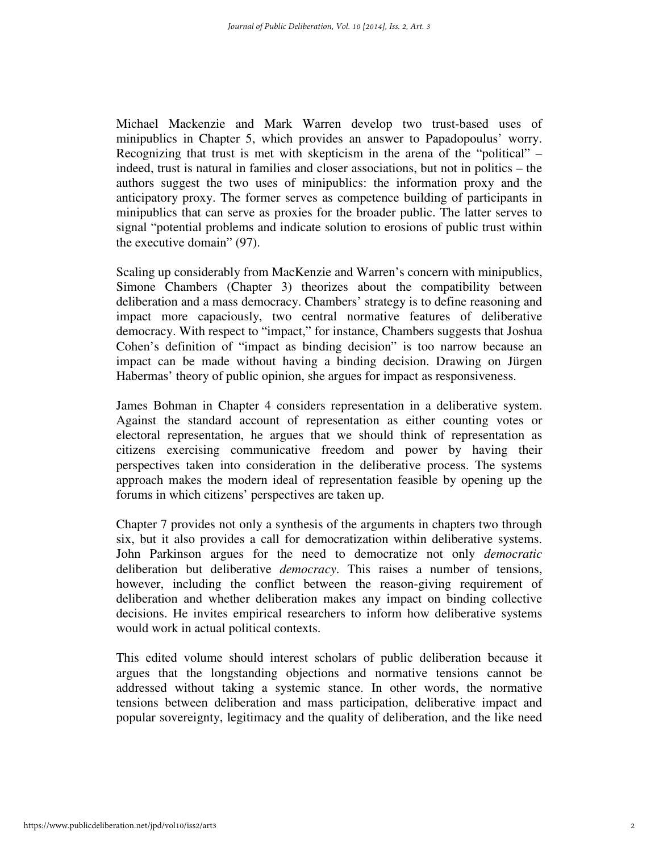Michael Mackenzie and Mark Warren develop two trust-based uses of minipublics in Chapter 5, which provides an answer to Papadopoulus' worry. Recognizing that trust is met with skepticism in the arena of the "political" – indeed, trust is natural in families and closer associations, but not in politics – the authors suggest the two uses of minipublics: the information proxy and the anticipatory proxy. The former serves as competence building of participants in minipublics that can serve as proxies for the broader public. The latter serves to signal "potential problems and indicate solution to erosions of public trust within the executive domain" (97).

Scaling up considerably from MacKenzie and Warren's concern with minipublics, Simone Chambers (Chapter 3) theorizes about the compatibility between deliberation and a mass democracy. Chambers' strategy is to define reasoning and impact more capaciously, two central normative features of deliberative democracy. With respect to "impact," for instance, Chambers suggests that Joshua Cohen's definition of "impact as binding decision" is too narrow because an impact can be made without having a binding decision. Drawing on Jürgen Habermas' theory of public opinion, she argues for impact as responsiveness.

James Bohman in Chapter 4 considers representation in a deliberative system. Against the standard account of representation as either counting votes or electoral representation, he argues that we should think of representation as citizens exercising communicative freedom and power by having their perspectives taken into consideration in the deliberative process. The systems approach makes the modern ideal of representation feasible by opening up the forums in which citizens' perspectives are taken up.

Chapter 7 provides not only a synthesis of the arguments in chapters two through six, but it also provides a call for democratization within deliberative systems. John Parkinson argues for the need to democratize not only *democratic* deliberation but deliberative *democracy*. This raises a number of tensions, however, including the conflict between the reason-giving requirement of deliberation and whether deliberation makes any impact on binding collective decisions. He invites empirical researchers to inform how deliberative systems would work in actual political contexts.

This edited volume should interest scholars of public deliberation because it argues that the longstanding objections and normative tensions cannot be addressed without taking a systemic stance. In other words, the normative tensions between deliberation and mass participation, deliberative impact and popular sovereignty, legitimacy and the quality of deliberation, and the like need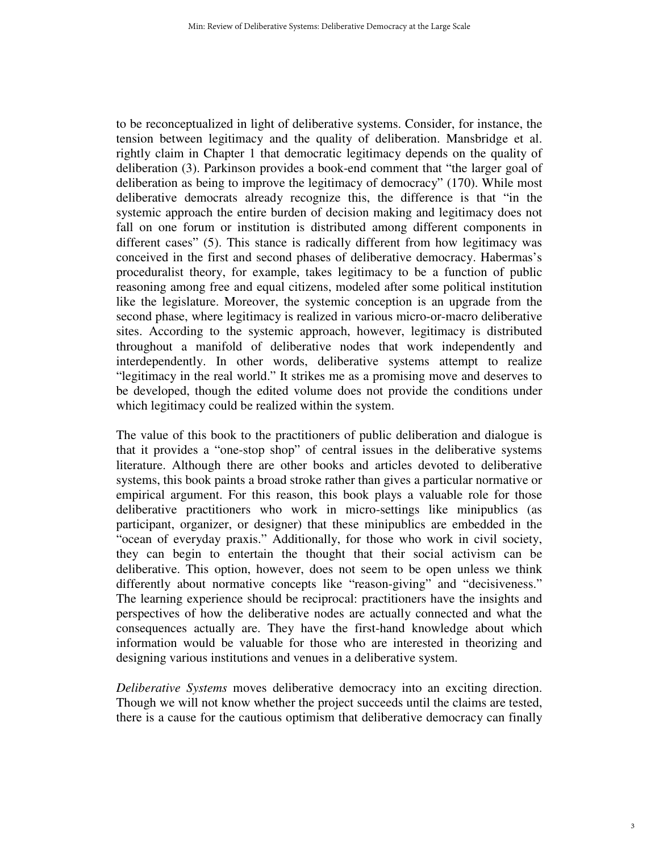to be reconceptualized in light of deliberative systems. Consider, for instance, the tension between legitimacy and the quality of deliberation. Mansbridge et al. rightly claim in Chapter 1 that democratic legitimacy depends on the quality of deliberation (3). Parkinson provides a book-end comment that "the larger goal of deliberation as being to improve the legitimacy of democracy" (170). While most deliberative democrats already recognize this, the difference is that "in the systemic approach the entire burden of decision making and legitimacy does not fall on one forum or institution is distributed among different components in different cases" (5). This stance is radically different from how legitimacy was conceived in the first and second phases of deliberative democracy. Habermas's proceduralist theory, for example, takes legitimacy to be a function of public reasoning among free and equal citizens, modeled after some political institution like the legislature. Moreover, the systemic conception is an upgrade from the second phase, where legitimacy is realized in various micro-or-macro deliberative sites. According to the systemic approach, however, legitimacy is distributed throughout a manifold of deliberative nodes that work independently and interdependently. In other words, deliberative systems attempt to realize "legitimacy in the real world." It strikes me as a promising move and deserves to be developed, though the edited volume does not provide the conditions under which legitimacy could be realized within the system.

The value of this book to the practitioners of public deliberation and dialogue is that it provides a "one-stop shop" of central issues in the deliberative systems literature. Although there are other books and articles devoted to deliberative systems, this book paints a broad stroke rather than gives a particular normative or empirical argument. For this reason, this book plays a valuable role for those deliberative practitioners who work in micro-settings like minipublics (as participant, organizer, or designer) that these minipublics are embedded in the "ocean of everyday praxis." Additionally, for those who work in civil society, they can begin to entertain the thought that their social activism can be deliberative. This option, however, does not seem to be open unless we think differently about normative concepts like "reason-giving" and "decisiveness." The learning experience should be reciprocal: practitioners have the insights and perspectives of how the deliberative nodes are actually connected and what the consequences actually are. They have the first-hand knowledge about which information would be valuable for those who are interested in theorizing and designing various institutions and venues in a deliberative system.

*Deliberative Systems* moves deliberative democracy into an exciting direction. Though we will not know whether the project succeeds until the claims are tested, there is a cause for the cautious optimism that deliberative democracy can finally